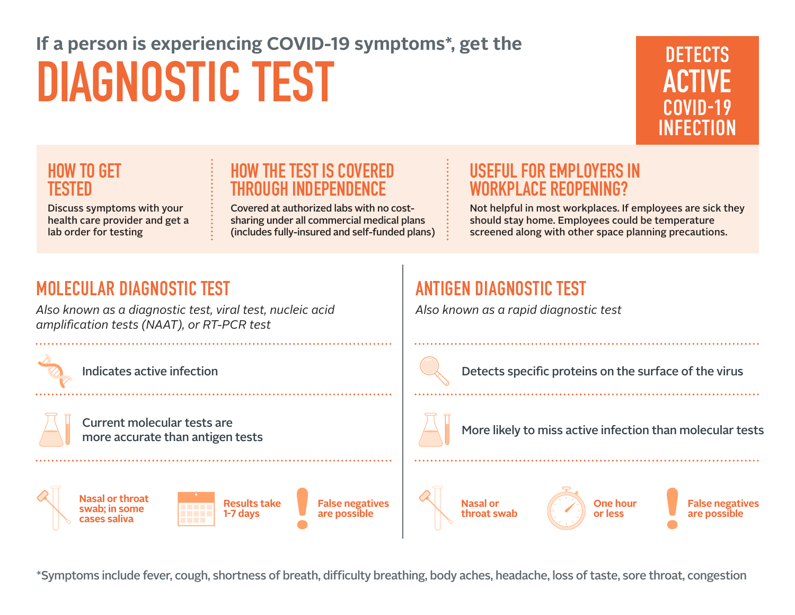# **If a person is experiencing COVID-19 symptoms\*, get the DIAGNOSTIC TEST**



### **HOW TO GET TESTED**

Discuss symptoms with your health care provider and get a lab order for testing

### **HOW THE TEST IS COVERED THROUGH INDEPENDENCE**

Covered at authorized labs with no costsharing under all commercial medical plans (includes fully-insured and self-funded plans)

### **USEFUL FOR EMPLOYERS IN ACE REOPENING**

Not helpful in most workplaces. If employees are sick they should stay home. Employees could be temperature screened along with other space planning precautions.

### **MOLECULAR DIAGNOSTIC TEST**

*Also known as a diagnostic test, viral test, nucleic acid amplification tests (NAAT), or RT-PCR test*

Current molecular tests are more accurate than antigen tests

**Nasal or throat swab; in some cases saliva False negatives are possible Results take 1-7 days**

**ANTIGEN DIAGNOSTIC TEST** 

*Also known as a rapid diagnostic test*

Indicates active infection  $\Box$  Detects specific proteins on the surface of the virus

More likely to miss active infection than molecular tests





**False negatives are possible**

\*Symptoms include fever, cough, shortness of breath, difficulty breathing, body aches, headache, loss of taste, sore throat, congestion